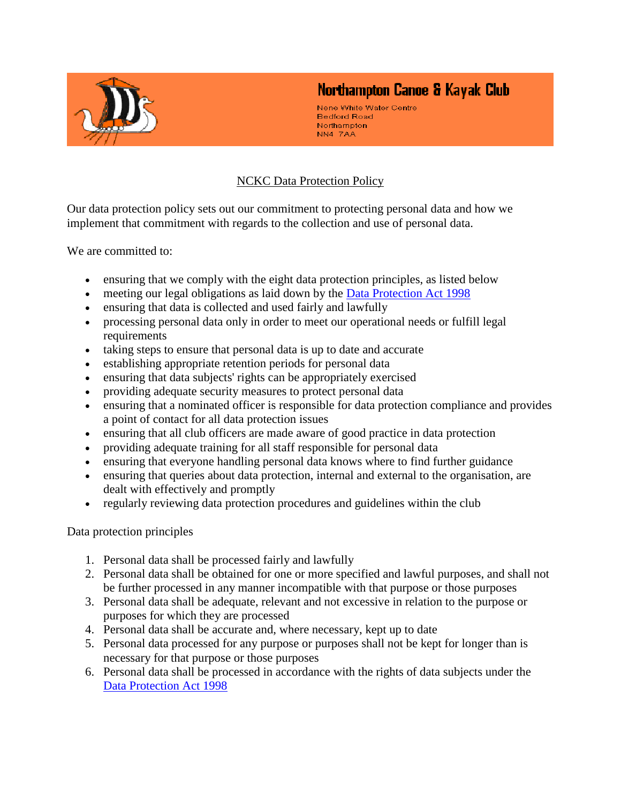

## Northampton Canoe & Kayak Club

Nene White Water Centre **Bedford Road** Northampton NN4 7AA

## NCKC Data Protection Policy

Our data protection policy sets out our commitment to protecting personal data and how we implement that commitment with regards to the collection and use of personal data.

We are committed to:

- ensuring that we comply with the eight data protection principles, as listed below
- meeting our legal obligations as laid down by the [Data Protection Act 1998](http://www.opsi.gov.uk/Acts/Acts1998/ukpga_19980029_en_1)
- ensuring that data is collected and used fairly and lawfully
- processing personal data only in order to meet our operational needs or fulfill legal requirements
- taking steps to ensure that personal data is up to date and accurate
- establishing appropriate retention periods for personal data
- ensuring that data subjects' rights can be appropriately exercised
- providing adequate security measures to protect personal data
- ensuring that a nominated officer is responsible for data protection compliance and provides a point of contact for all data protection issues
- ensuring that all club officers are made aware of good practice in data protection
- providing adequate training for all staff responsible for personal data
- ensuring that everyone handling personal data knows where to find further guidance
- ensuring that queries about data protection, internal and external to the organisation, are dealt with effectively and promptly
- regularly reviewing data protection procedures and guidelines within the club

Data protection principles

- 1. Personal data shall be processed fairly and lawfully
- 2. Personal data shall be obtained for one or more specified and lawful purposes, and shall not be further processed in any manner incompatible with that purpose or those purposes
- 3. Personal data shall be adequate, relevant and not excessive in relation to the purpose or purposes for which they are processed
- 4. Personal data shall be accurate and, where necessary, kept up to date
- 5. Personal data processed for any purpose or purposes shall not be kept for longer than is necessary for that purpose or those purposes
- 6. Personal data shall be processed in accordance with the rights of data subjects under the [Data Protection Act 1998](http://www.opsi.gov.uk/Acts/Acts1998/ukpga_19980029_en_1)